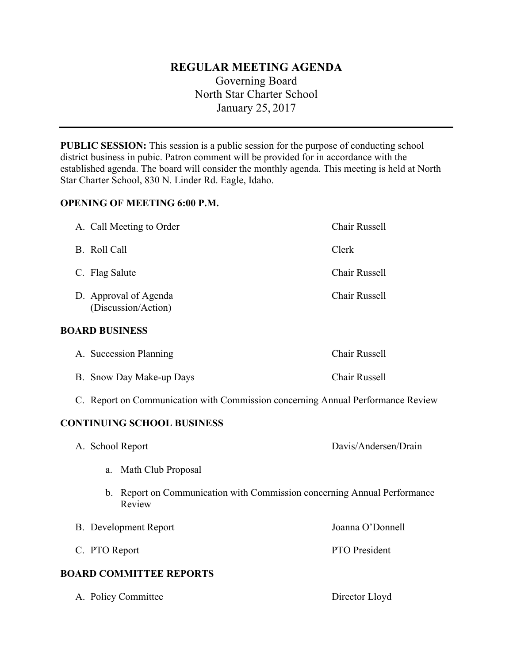# **REGULAR MEETING AGENDA**

Governing Board North Star Charter School January 25, 2017

**PUBLIC SESSION:** This session is a public session for the purpose of conducting school district business in pubic. Patron comment will be provided for in accordance with the established agenda. The board will consider the monthly agenda. This meeting is held at North Star Charter School, 830 N. Linder Rd. Eagle, Idaho.

# **OPENING OF MEETING 6:00 P.M.**

|                                   | A. Call Meeting to Order                                                           | Chair Russell        |
|-----------------------------------|------------------------------------------------------------------------------------|----------------------|
|                                   | B. Roll Call                                                                       | Clerk                |
|                                   | C. Flag Salute                                                                     | Chair Russell        |
|                                   | D. Approval of Agenda<br>(Discussion/Action)                                       | Chair Russell        |
| <b>BOARD BUSINESS</b>             |                                                                                    |                      |
|                                   | A. Succession Planning                                                             | Chair Russell        |
|                                   | B. Snow Day Make-up Days                                                           | <b>Chair Russell</b> |
|                                   | C. Report on Communication with Commission concerning Annual Performance Review    |                      |
| <b>CONTINUING SCHOOL BUSINESS</b> |                                                                                    |                      |
|                                   | A. School Report                                                                   | Davis/Andersen/Drain |
|                                   | Math Club Proposal<br>a.                                                           |                      |
|                                   | b. Report on Communication with Commission concerning Annual Performance<br>Review |                      |
|                                   | <b>B.</b> Development Report                                                       | Joanna O'Donnell     |
|                                   | C. PTO Report                                                                      | PTO President        |
| <b>BOARD COMMITTEE REPORTS</b>    |                                                                                    |                      |

A. Policy Committee Director Lloyd